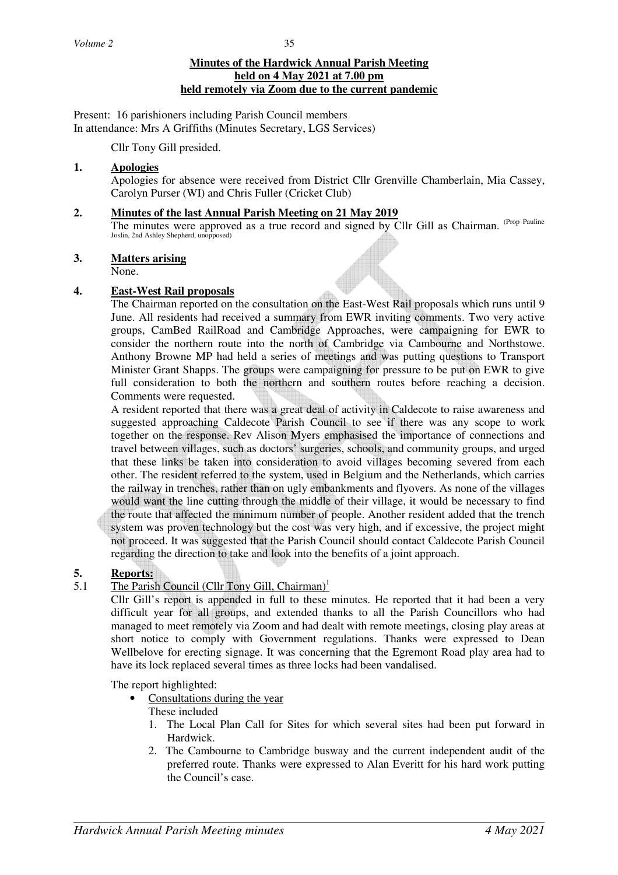# **Minutes of the Hardwick Annual Parish Meeting held on 4 May 2021 at 7.00 pm held remotely via Zoom due to the current pandemic**

Present: 16 parishioners including Parish Council members In attendance: Mrs A Griffiths (Minutes Secretary, LGS Services)

Cllr Tony Gill presided.

# **1. Apologies**

Apologies for absence were received from District Cllr Grenville Chamberlain, Mia Cassey, Carolyn Purser (WI) and Chris Fuller (Cricket Club)

# **2. Minutes of the last Annual Parish Meeting on 21 May 2019**

The minutes were approved as a true record and signed by Cllr Gill as Chairman. <sup>(Prop Pauline</sup> Joslin, 2nd Ashley Shepherd, unopposed)

# **3. Matters arising**

None.

# **4. East-West Rail proposals**

The Chairman reported on the consultation on the East-West Rail proposals which runs until 9 June. All residents had received a summary from EWR inviting comments. Two very active groups, CamBed RailRoad and Cambridge Approaches, were campaigning for EWR to consider the northern route into the north of Cambridge via Cambourne and Northstowe. Anthony Browne MP had held a series of meetings and was putting questions to Transport Minister Grant Shapps. The groups were campaigning for pressure to be put on EWR to give full consideration to both the northern and southern routes before reaching a decision. Comments were requested.

A resident reported that there was a great deal of activity in Caldecote to raise awareness and suggested approaching Caldecote Parish Council to see if there was any scope to work together on the response. Rev Alison Myers emphasised the importance of connections and travel between villages, such as doctors' surgeries, schools, and community groups, and urged that these links be taken into consideration to avoid villages becoming severed from each other. The resident referred to the system, used in Belgium and the Netherlands, which carries the railway in trenches, rather than on ugly embankments and flyovers. As none of the villages would want the line cutting through the middle of their village, it would be necessary to find the route that affected the minimum number of people. Another resident added that the trench system was proven technology but the cost was very high, and if excessive, the project might not proceed. It was suggested that the Parish Council should contact Caldecote Parish Council regarding the direction to take and look into the benefits of a joint approach.

# 5. Reports:<br>5.1 The Paris

# The Parish Council (Cllr Tony Gill, Chairman)<sup>1</sup>

Cllr Gill's report is appended in full to these minutes. He reported that it had been a very difficult year for all groups, and extended thanks to all the Parish Councillors who had managed to meet remotely via Zoom and had dealt with remote meetings, closing play areas at short notice to comply with Government regulations. Thanks were expressed to Dean Wellbelove for erecting signage. It was concerning that the Egremont Road play area had to have its lock replaced several times as three locks had been vandalised.

The report highlighted:

• Consultations during the year

# These included

- 1. The Local Plan Call for Sites for which several sites had been put forward in Hardwick.
- 2. The Cambourne to Cambridge busway and the current independent audit of the preferred route. Thanks were expressed to Alan Everitt for his hard work putting the Council's case.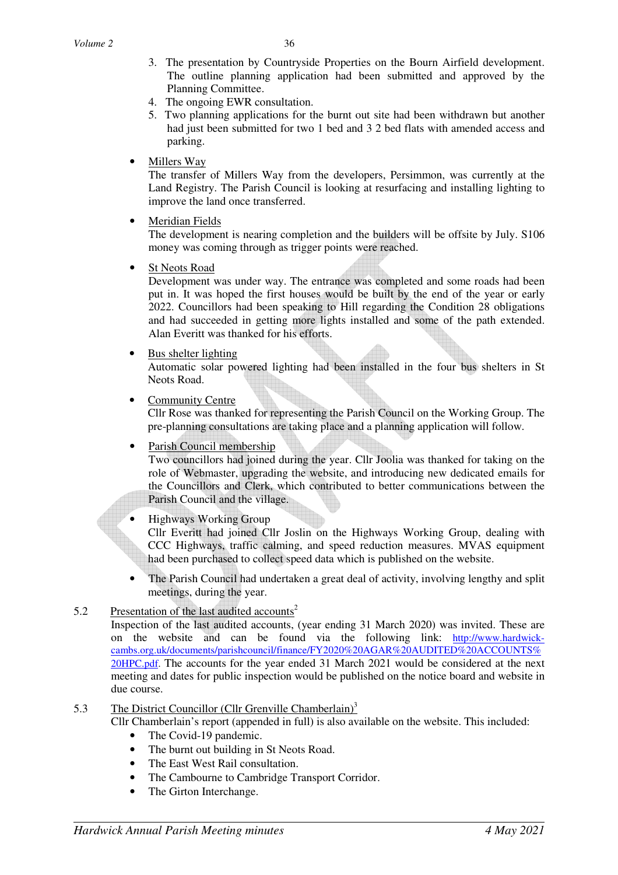- 3. The presentation by Countryside Properties on the Bourn Airfield development. The outline planning application had been submitted and approved by the Planning Committee.
- 4. The ongoing EWR consultation.
- 5. Two planning applications for the burnt out site had been withdrawn but another had just been submitted for two 1 bed and 3 2 bed flats with amended access and parking.

## • Millers Way

The transfer of Millers Way from the developers, Persimmon, was currently at the Land Registry. The Parish Council is looking at resurfacing and installing lighting to improve the land once transferred.

• Meridian Fields

The development is nearing completion and the builders will be offsite by July. S106 money was coming through as trigger points were reached.

**St Neots Road** 

Development was under way. The entrance was completed and some roads had been put in. It was hoped the first houses would be built by the end of the year or early 2022. Councillors had been speaking to Hill regarding the Condition 28 obligations and had succeeded in getting more lights installed and some of the path extended. Alan Everitt was thanked for his efforts.

#### • Bus shelter lighting

Automatic solar powered lighting had been installed in the four bus shelters in St Neots Road.

Community Centre

Cllr Rose was thanked for representing the Parish Council on the Working Group. The pre-planning consultations are taking place and a planning application will follow.

#### • Parish Council membership

Two councillors had joined during the year. Cllr Joolia was thanked for taking on the role of Webmaster, upgrading the website, and introducing new dedicated emails for the Councillors and Clerk, which contributed to better communications between the Parish Council and the village.

• Highways Working Group

Cllr Everitt had joined Cllr Joslin on the Highways Working Group, dealing with CCC Highways, traffic calming, and speed reduction measures. MVAS equipment had been purchased to collect speed data which is published on the website.

• The Parish Council had undertaken a great deal of activity, involving lengthy and split meetings, during the year.

# 5.2 Presentation of the last audited accounts<sup>2</sup>

Inspection of the last audited accounts, (year ending 31 March 2020) was invited. These are on the website and can be found via the following link: http://www.hardwickcambs.org.uk/documents/parishcouncil/finance/FY2020%20AGAR%20AUDITED%20ACCOUNTS% 20HPC.pdf. The accounts for the year ended 31 March 2021 would be considered at the next meeting and dates for public inspection would be published on the notice board and website in due course.

# 5.3 The District Councillor (Cllr Grenville Chamberlain)<sup>3</sup>

Cllr Chamberlain's report (appended in full) is also available on the website. This included:

- The Covid-19 pandemic.
- The burnt out building in St Neots Road.
- The East West Rail consultation.
- The Cambourne to Cambridge Transport Corridor.
- The Girton Interchange.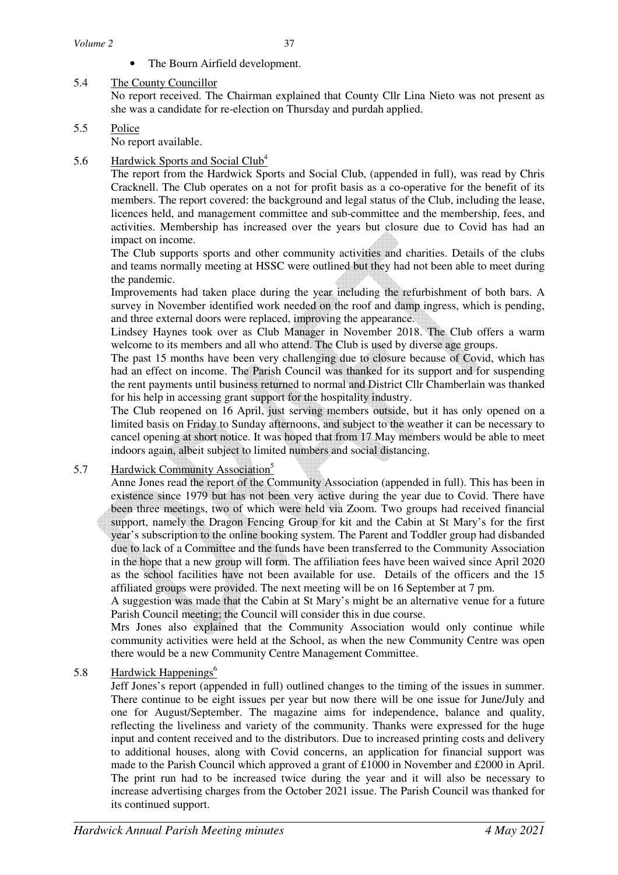The Bourn Airfield development.

# 5.4 The County Councillor

 No report received. The Chairman explained that County Cllr Lina Nieto was not present as she was a candidate for re-election on Thursday and purdah applied.

# 5.5 Police

No report available.

# 5.6 Hardwick Sports and Social Club<sup>4</sup>

 The report from the Hardwick Sports and Social Club, (appended in full), was read by Chris Cracknell. The Club operates on a not for profit basis as a co-operative for the benefit of its members. The report covered: the background and legal status of the Club, including the lease, licences held, and management committee and sub-committee and the membership, fees, and activities. Membership has increased over the years but closure due to Covid has had an impact on income.

The Club supports sports and other community activities and charities. Details of the clubs and teams normally meeting at HSSC were outlined but they had not been able to meet during the pandemic.

 Improvements had taken place during the year including the refurbishment of both bars. A survey in November identified work needed on the roof and damp ingress, which is pending, and three external doors were replaced, improving the appearance.

 Lindsey Haynes took over as Club Manager in November 2018. The Club offers a warm welcome to its members and all who attend. The Club is used by diverse age groups.

 The past 15 months have been very challenging due to closure because of Covid, which has had an effect on income. The Parish Council was thanked for its support and for suspending the rent payments until business returned to normal and District Cllr Chamberlain was thanked for his help in accessing grant support for the hospitality industry.

 The Club reopened on 16 April, just serving members outside, but it has only opened on a limited basis on Friday to Sunday afternoons, and subject to the weather it can be necessary to cancel opening at short notice. It was hoped that from 17 May members would be able to meet indoors again, albeit subject to limited numbers and social distancing.

# 5.7 Hardwick Community Association<sup>5</sup>

 Anne Jones read the report of the Community Association (appended in full). This has been in existence since 1979 but has not been very active during the year due to Covid. There have been three meetings, two of which were held via Zoom. Two groups had received financial support, namely the Dragon Fencing Group for kit and the Cabin at St Mary's for the first year's subscription to the online booking system. The Parent and Toddler group had disbanded due to lack of a Committee and the funds have been transferred to the Community Association in the hope that a new group will form. The affiliation fees have been waived since April 2020 as the school facilities have not been available for use. Details of the officers and the 15 affiliated groups were provided. The next meeting will be on 16 September at 7 pm.

 A suggestion was made that the Cabin at St Mary's might be an alternative venue for a future Parish Council meeting; the Council will consider this in due course.

Mrs Jones also explained that the Community Association would only continue while community activities were held at the School, as when the new Community Centre was open there would be a new Community Centre Management Committee.

# 5.8 Hardwick Happenings<sup>6</sup>

 Jeff Jones's report (appended in full) outlined changes to the timing of the issues in summer. There continue to be eight issues per year but now there will be one issue for June/July and one for August/September. The magazine aims for independence, balance and quality, reflecting the liveliness and variety of the community. Thanks were expressed for the huge input and content received and to the distributors. Due to increased printing costs and delivery to additional houses, along with Covid concerns, an application for financial support was made to the Parish Council which approved a grant of £1000 in November and £2000 in April. The print run had to be increased twice during the year and it will also be necessary to increase advertising charges from the October 2021 issue. The Parish Council was thanked for its continued support.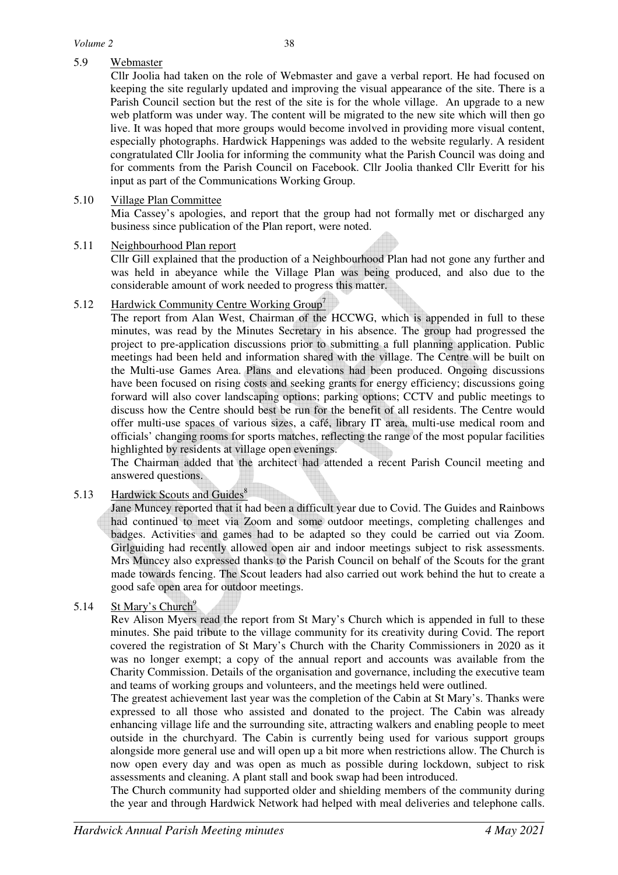# 5.9 Webmaster

Cllr Joolia had taken on the role of Webmaster and gave a verbal report. He had focused on keeping the site regularly updated and improving the visual appearance of the site. There is a Parish Council section but the rest of the site is for the whole village. An upgrade to a new web platform was under way. The content will be migrated to the new site which will then go live. It was hoped that more groups would become involved in providing more visual content, especially photographs. Hardwick Happenings was added to the website regularly. A resident congratulated Cllr Joolia for informing the community what the Parish Council was doing and for comments from the Parish Council on Facebook. Cllr Joolia thanked Cllr Everitt for his input as part of the Communications Working Group.

### 5.10 Village Plan Committee

Mia Cassey's apologies, and report that the group had not formally met or discharged any business since publication of the Plan report, were noted.

#### 5.11 Neighbourhood Plan report

Cllr Gill explained that the production of a Neighbourhood Plan had not gone any further and was held in abeyance while the Village Plan was being produced, and also due to the considerable amount of work needed to progress this matter.

# 5.12 Hardwick Community Centre Working Group<sup>7</sup>

The report from Alan West, Chairman of the HCCWG, which is appended in full to these minutes, was read by the Minutes Secretary in his absence. The group had progressed the project to pre-application discussions prior to submitting a full planning application. Public meetings had been held and information shared with the village. The Centre will be built on the Multi-use Games Area. Plans and elevations had been produced. Ongoing discussions have been focused on rising costs and seeking grants for energy efficiency; discussions going forward will also cover landscaping options; parking options; CCTV and public meetings to discuss how the Centre should best be run for the benefit of all residents. The Centre would offer multi-use spaces of various sizes, a café, library IT area, multi-use medical room and officials' changing rooms for sports matches, reflecting the range of the most popular facilities highlighted by residents at village open evenings.

The Chairman added that the architect had attended a recent Parish Council meeting and answered questions.

# 5.13 Hardwick Scouts and Guides<sup>8</sup>

Jane Muncey reported that it had been a difficult year due to Covid. The Guides and Rainbows had continued to meet via Zoom and some outdoor meetings, completing challenges and badges. Activities and games had to be adapted so they could be carried out via Zoom. Girlguiding had recently allowed open air and indoor meetings subject to risk assessments. Mrs Muncey also expressed thanks to the Parish Council on behalf of the Scouts for the grant made towards fencing. The Scout leaders had also carried out work behind the hut to create a good safe open area for outdoor meetings.

# 5.14 St Mary's Church<sup>9</sup>

Rev Alison Myers read the report from St Mary's Church which is appended in full to these minutes. She paid tribute to the village community for its creativity during Covid. The report covered the registration of St Mary's Church with the Charity Commissioners in 2020 as it was no longer exempt; a copy of the annual report and accounts was available from the Charity Commission. Details of the organisation and governance, including the executive team and teams of working groups and volunteers, and the meetings held were outlined.

The greatest achievement last year was the completion of the Cabin at St Mary's. Thanks were expressed to all those who assisted and donated to the project. The Cabin was already enhancing village life and the surrounding site, attracting walkers and enabling people to meet outside in the churchyard. The Cabin is currently being used for various support groups alongside more general use and will open up a bit more when restrictions allow. The Church is now open every day and was open as much as possible during lockdown, subject to risk assessments and cleaning. A plant stall and book swap had been introduced.

The Church community had supported older and shielding members of the community during the year and through Hardwick Network had helped with meal deliveries and telephone calls.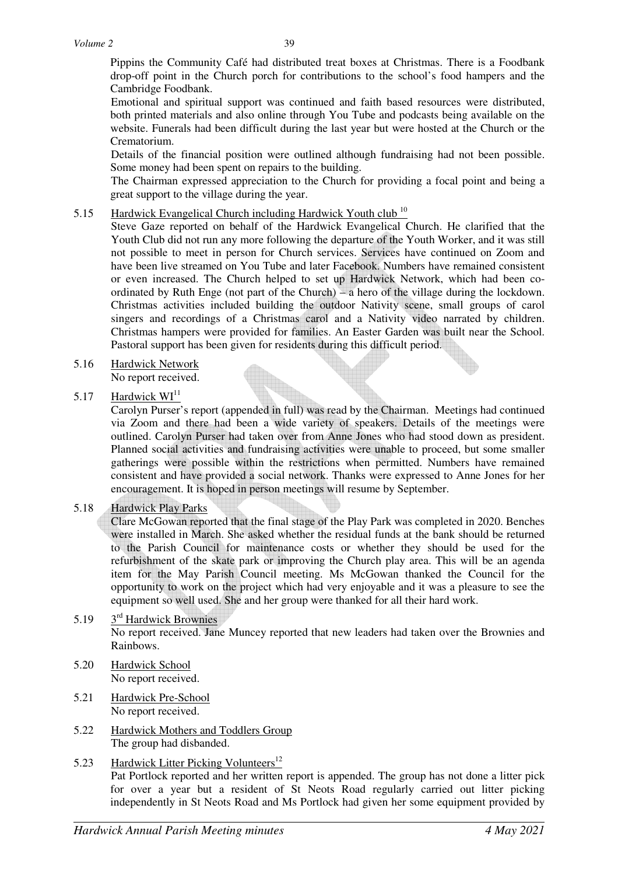Pippins the Community Café had distributed treat boxes at Christmas. There is a Foodbank drop-off point in the Church porch for contributions to the school's food hampers and the Cambridge Foodbank.

Emotional and spiritual support was continued and faith based resources were distributed, both printed materials and also online through You Tube and podcasts being available on the website. Funerals had been difficult during the last year but were hosted at the Church or the Crematorium.

Details of the financial position were outlined although fundraising had not been possible. Some money had been spent on repairs to the building.

The Chairman expressed appreciation to the Church for providing a focal point and being a great support to the village during the year.

# 5.15 Hardwick Evangelical Church including Hardwick Youth club<sup>10</sup>

Steve Gaze reported on behalf of the Hardwick Evangelical Church. He clarified that the Youth Club did not run any more following the departure of the Youth Worker, and it was still not possible to meet in person for Church services. Services have continued on Zoom and have been live streamed on You Tube and later Facebook. Numbers have remained consistent or even increased. The Church helped to set up Hardwick Network, which had been coordinated by Ruth Enge (not part of the Church) – a hero of the village during the lockdown. Christmas activities included building the outdoor Nativity scene, small groups of carol singers and recordings of a Christmas carol and a Nativity video narrated by children. Christmas hampers were provided for families. An Easter Garden was built near the School. Pastoral support has been given for residents during this difficult period.

# 5.16 Hardwick Network

No report received.

#### 5.17 Hardwick  $WI<sup>11</sup>$

Carolyn Purser's report (appended in full) was read by the Chairman. Meetings had continued via Zoom and there had been a wide variety of speakers. Details of the meetings were outlined. Carolyn Purser had taken over from Anne Jones who had stood down as president. Planned social activities and fundraising activities were unable to proceed, but some smaller gatherings were possible within the restrictions when permitted. Numbers have remained consistent and have provided a social network. Thanks were expressed to Anne Jones for her encouragement. It is hoped in person meetings will resume by September.

#### 5.18 Hardwick Play Parks

Clare McGowan reported that the final stage of the Play Park was completed in 2020. Benches were installed in March. She asked whether the residual funds at the bank should be returned to the Parish Council for maintenance costs or whether they should be used for the refurbishment of the skate park or improving the Church play area. This will be an agenda item for the May Parish Council meeting. Ms McGowan thanked the Council for the opportunity to work on the project which had very enjoyable and it was a pleasure to see the equipment so well used. She and her group were thanked for all their hard work.

### 5.19 3<sup>rd</sup> Hardwick Brownies No report received. Jane Muncey reported that new leaders had taken over the Brownies and Rainbows.

- 5.20 Hardwick School No report received.
- 5.21 Hardwick Pre-School No report received.
- 5.22 Hardwick Mothers and Toddlers Group The group had disbanded.
- 5.23 Hardwick Litter Picking Volunteers<sup>12</sup> Pat Portlock reported and her written report is appended. The group has not done a litter pick for over a year but a resident of St Neots Road regularly carried out litter picking independently in St Neots Road and Ms Portlock had given her some equipment provided by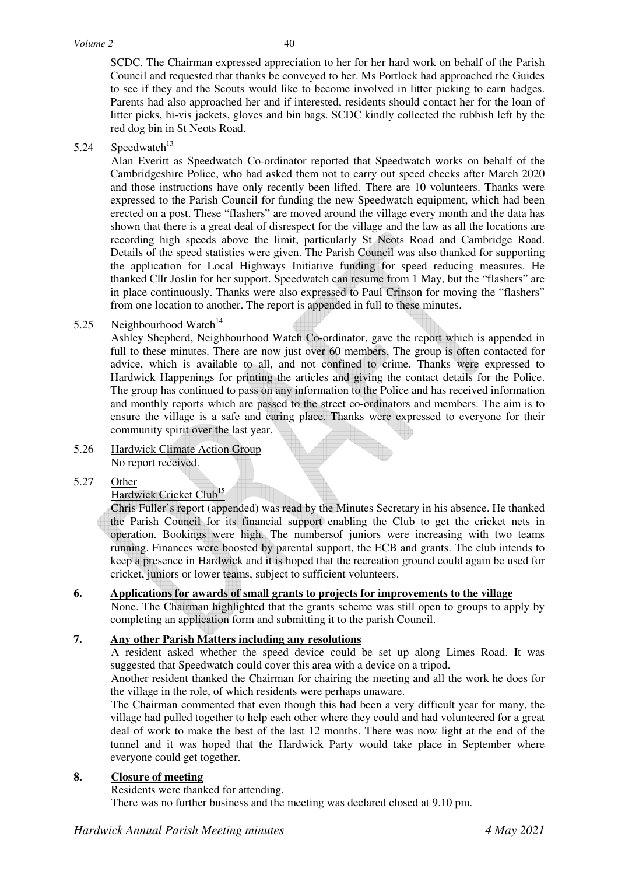SCDC. The Chairman expressed appreciation to her for her hard work on behalf of the Parish Council and requested that thanks be conveyed to her. Ms Portlock had approached the Guides to see if they and the Scouts would like to become involved in litter picking to earn badges. Parents had also approached her and if interested, residents should contact her for the loan of litter picks, hi-vis jackets, gloves and bin bags. SCDC kindly collected the rubbish left by the red dog bin in St Neots Road.

# 5.24 Speedwatch $13$

Alan Everitt as Speedwatch Co-ordinator reported that Speedwatch works on behalf of the Cambridgeshire Police, who had asked them not to carry out speed checks after March 2020 and those instructions have only recently been lifted. There are 10 volunteers. Thanks were expressed to the Parish Council for funding the new Speedwatch equipment, which had been erected on a post. These "flashers" are moved around the village every month and the data has shown that there is a great deal of disrespect for the village and the law as all the locations are recording high speeds above the limit, particularly St Neots Road and Cambridge Road. Details of the speed statistics were given. The Parish Council was also thanked for supporting the application for Local Highways Initiative funding for speed reducing measures. He thanked Cllr Joslin for her support. Speedwatch can resume from 1 May, but the "flashers" are in place continuously. Thanks were also expressed to Paul Crinson for moving the "flashers" from one location to another. The report is appended in full to these minutes.

# 5.25 Neighbourhood Watch $14$

Ashley Shepherd, Neighbourhood Watch Co-ordinator, gave the report which is appended in full to these minutes. There are now just over 60 members. The group is often contacted for advice, which is available to all, and not confined to crime. Thanks were expressed to Hardwick Happenings for printing the articles and giving the contact details for the Police. The group has continued to pass on any information to the Police and has received information and monthly reports which are passed to the street co-ordinators and members. The aim is to ensure the village is a safe and caring place. Thanks were expressed to everyone for their community spirit over the last year.

5.26 Hardwick Climate Action Group No report received.

# 5.27 Other

# Hardwick Cricket Club<sup>15</sup>

 Chris Fuller's report (appended) was read by the Minutes Secretary in his absence. He thanked the Parish Council for its financial support enabling the Club to get the cricket nets in operation. Bookings were high. The numbersof juniors were increasing with two teams running. Finances were boosted by parental support, the ECB and grants. The club intends to keep a presence in Hardwick and it is hoped that the recreation ground could again be used for cricket, juniors or lower teams, subject to sufficient volunteers.

# **6. Applications for awards of small grants to projects for improvements to the village**

None. The Chairman highlighted that the grants scheme was still open to groups to apply by completing an application form and submitting it to the parish Council.

# **7. Any other Parish Matters including any resolutions**

A resident asked whether the speed device could be set up along Limes Road. It was suggested that Speedwatch could cover this area with a device on a tripod.

Another resident thanked the Chairman for chairing the meeting and all the work he does for the village in the role, of which residents were perhaps unaware.

The Chairman commented that even though this had been a very difficult year for many, the village had pulled together to help each other where they could and had volunteered for a great deal of work to make the best of the last 12 months. There was now light at the end of the tunnel and it was hoped that the Hardwick Party would take place in September where everyone could get together.

# **8. Closure of meeting**

Residents were thanked for attending.

There was no further business and the meeting was declared closed at 9.10 pm.